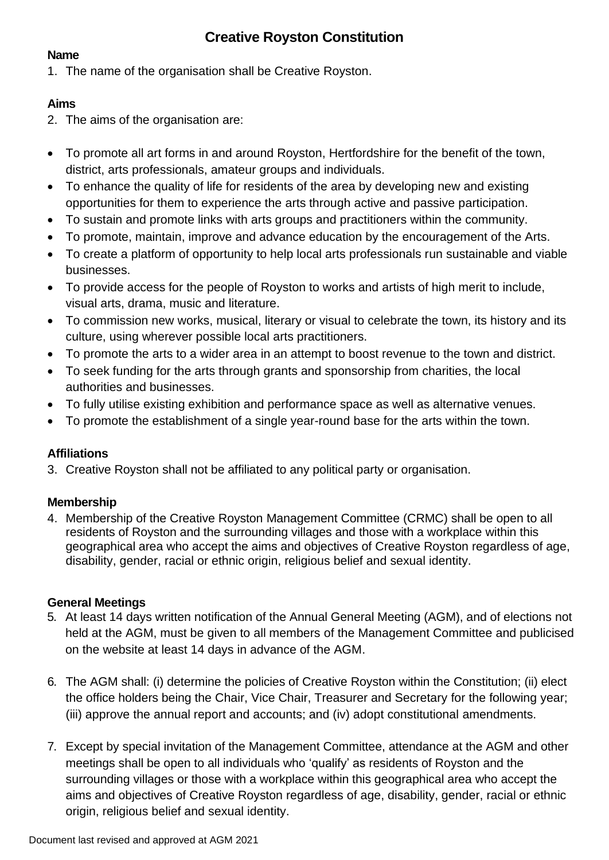# **Creative Royston Constitution**

#### **Name**

1. The name of the organisation shall be Creative Royston.

## **Aims**

2. The aims of the organisation are:

- To promote all art forms in and around Royston, Hertfordshire for the benefit of the town, district, arts professionals, amateur groups and individuals.
- To enhance the quality of life for residents of the area by developing new and existing opportunities for them to experience the arts through active and passive participation.
- To sustain and promote links with arts groups and practitioners within the community.
- To promote, maintain, improve and advance education by the encouragement of the Arts.
- To create a platform of opportunity to help local arts professionals run sustainable and viable businesses.
- To provide access for the people of Royston to works and artists of high merit to include, visual arts, drama, music and literature.
- To commission new works, musical, literary or visual to celebrate the town, its history and its culture, using wherever possible local arts practitioners.
- To promote the arts to a wider area in an attempt to boost revenue to the town and district.
- To seek funding for the arts through grants and sponsorship from charities, the local authorities and businesses.
- To fully utilise existing exhibition and performance space as well as alternative venues.
- To promote the establishment of a single year-round base for the arts within the town.

### **Affiliations**

3. Creative Royston shall not be affiliated to any political party or organisation.

### **Membership**

4. Membership of the Creative Royston Management Committee (CRMC) shall be open to all residents of Royston and the surrounding villages and those with a workplace within this geographical area who accept the aims and objectives of Creative Royston regardless of age, disability, gender, racial or ethnic origin, religious belief and sexual identity.

### **General Meetings**

- 5. At least 14 days written notification of the Annual General Meeting (AGM), and of elections not held at the AGM, must be given to all members of the Management Committee and publicised on the website at least 14 days in advance of the AGM.
- 6. The AGM shall: (i) determine the policies of Creative Royston within the Constitution; (ii) elect the office holders being the Chair, Vice Chair, Treasurer and Secretary for the following year; (iii) approve the annual report and accounts; and (iv) adopt constitutional amendments.
- 7. Except by special invitation of the Management Committee, attendance at the AGM and other meetings shall be open to all individuals who 'qualify' as residents of Royston and the surrounding villages or those with a workplace within this geographical area who accept the aims and objectives of Creative Royston regardless of age, disability, gender, racial or ethnic origin, religious belief and sexual identity.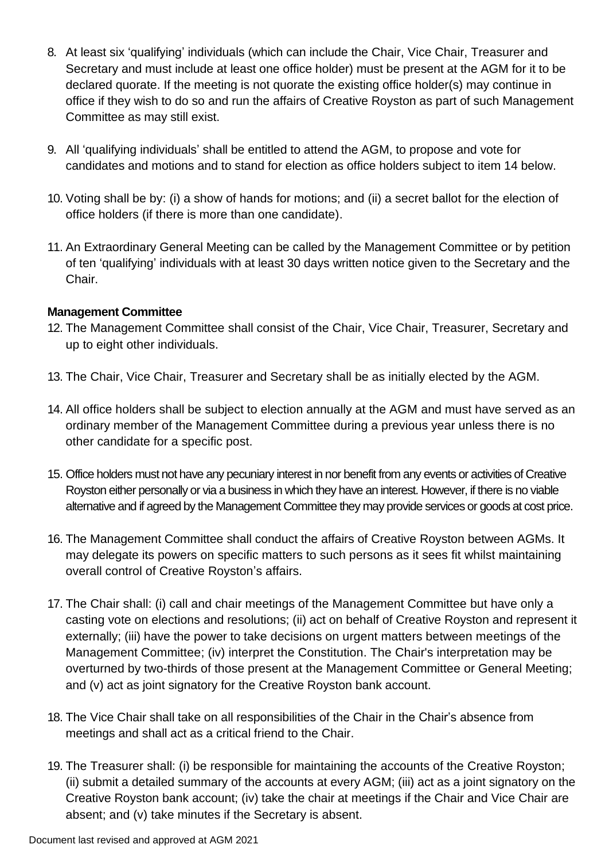- 8. At least six 'qualifying' individuals (which can include the Chair, Vice Chair, Treasurer and Secretary and must include at least one office holder) must be present at the AGM for it to be declared quorate. If the meeting is not quorate the existing office holder(s) may continue in office if they wish to do so and run the affairs of Creative Royston as part of such Management Committee as may still exist.
- 9. All 'qualifying individuals' shall be entitled to attend the AGM, to propose and vote for candidates and motions and to stand for election as office holders subject to item 14 below.
- 10. Voting shall be by: (i) a show of hands for motions; and (ii) a secret ballot for the election of office holders (if there is more than one candidate).
- 11. An Extraordinary General Meeting can be called by the Management Committee or by petition of ten 'qualifying' individuals with at least 30 days written notice given to the Secretary and the Chair.

#### **Management Committee**

- 12. The Management Committee shall consist of the Chair, Vice Chair, Treasurer, Secretary and up to eight other individuals.
- 13. The Chair, Vice Chair, Treasurer and Secretary shall be as initially elected by the AGM.
- 14. All office holders shall be subject to election annually at the AGM and must have served as an ordinary member of the Management Committee during a previous year unless there is no other candidate for a specific post.
- 15. Office holders must not have any pecuniary interest in nor benefit from any events or activities of Creative Royston either personally or via a business in which they have an interest. However, if there is no viable alternative and if agreed by the Management Committee they may provide services or goods at cost price.
- 16. The Management Committee shall conduct the affairs of Creative Royston between AGMs. It may delegate its powers on specific matters to such persons as it sees fit whilst maintaining overall control of Creative Royston's affairs.
- 17. The Chair shall: (i) call and chair meetings of the Management Committee but have only a casting vote on elections and resolutions; (ii) act on behalf of Creative Royston and represent it externally; (iii) have the power to take decisions on urgent matters between meetings of the Management Committee; (iv) interpret the Constitution. The Chair's interpretation may be overturned by two-thirds of those present at the Management Committee or General Meeting; and (v) act as joint signatory for the Creative Royston bank account.
- 18. The Vice Chair shall take on all responsibilities of the Chair in the Chair's absence from meetings and shall act as a critical friend to the Chair.
- 19. The Treasurer shall: (i) be responsible for maintaining the accounts of the Creative Royston; (ii) submit a detailed summary of the accounts at every AGM; (iii) act as a joint signatory on the Creative Royston bank account; (iv) take the chair at meetings if the Chair and Vice Chair are absent; and (v) take minutes if the Secretary is absent.